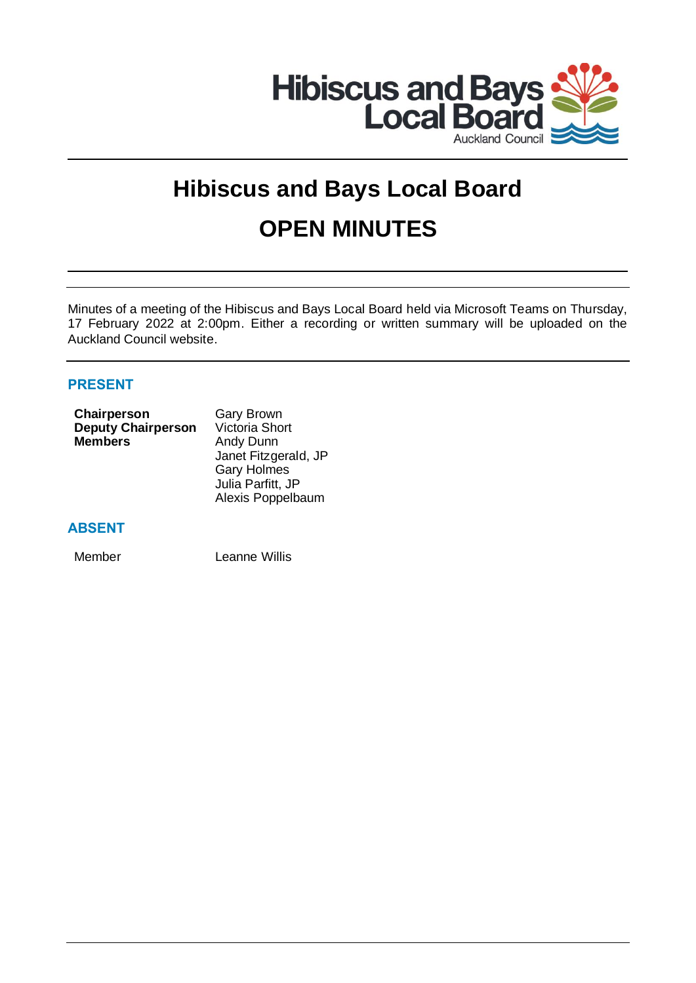

# **Hibiscus and Bays Local Board OPEN MINUTES**

Minutes of a meeting of the Hibiscus and Bays Local Board held via Microsoft Teams on Thursday, 17 February 2022 at 2:00pm. Either a recording or written summary will be uploaded on the Auckland Council website.

# **PRESENT**

| Chairperson               | <b>Gary Brown</b>     |
|---------------------------|-----------------------|
| <b>Deputy Chairperson</b> | <b>Victoria Short</b> |
| <b>Members</b>            | Andy Dunn             |
|                           | Janet Fitzgerald, JP  |
|                           | <b>Gary Holmes</b>    |
|                           | Julia Parfitt, JP     |
|                           | Alexis Poppelbaum     |
|                           |                       |

# **ABSENT**

Member Leanne Willis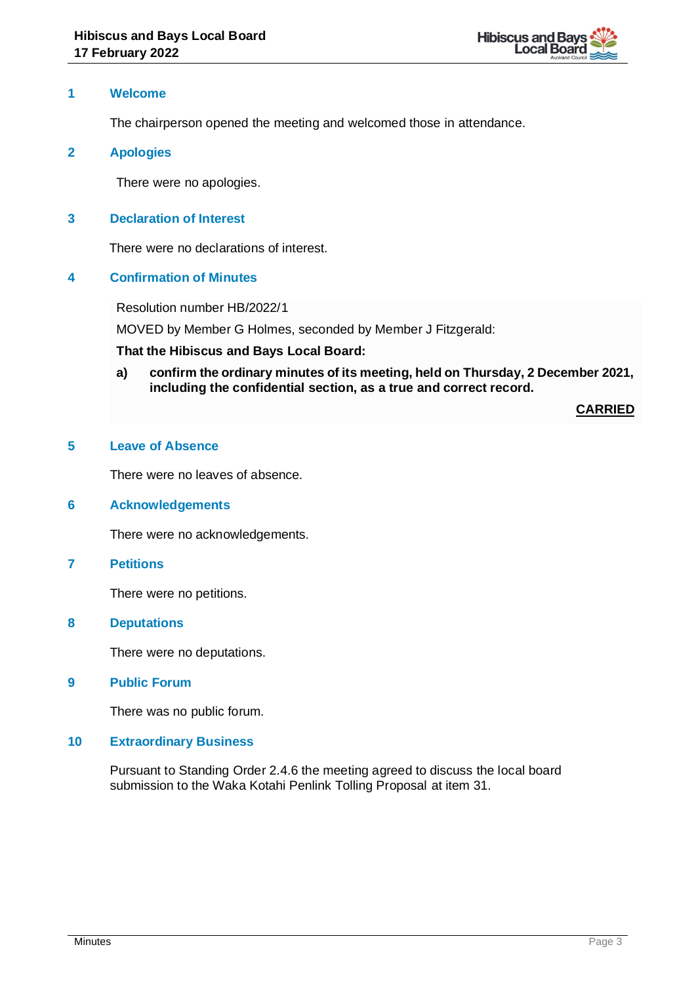

#### **1 Welcome**

The chairperson opened the meeting and welcomed those in attendance.

#### **2 Apologies**

There were no apologies.

#### **3 Declaration of Interest**

There were no declarations of interest.

# **4 Confirmation of Minutes**

Resolution number HB/2022/1

MOVED by Member G Holmes, seconded by Member J Fitzgerald:

#### **That the Hibiscus and Bays Local Board:**

**a) confirm the ordinary minutes of its meeting, held on Thursday, 2 December 2021, including the confidential section, as a true and correct record.**

**CARRIED**

# **5 Leave of Absence**

There were no leaves of absence.

#### **6 Acknowledgements**

There were no acknowledgements.

#### **7 Petitions**

There were no petitions.

#### **8 Deputations**

There were no deputations.

**9 Public Forum**

There was no public forum.

#### **10 Extraordinary Business**

Pursuant to Standing Order 2.4.6 the meeting agreed to discuss the local board submission to the Waka Kotahi Penlink Tolling Proposal at item 31.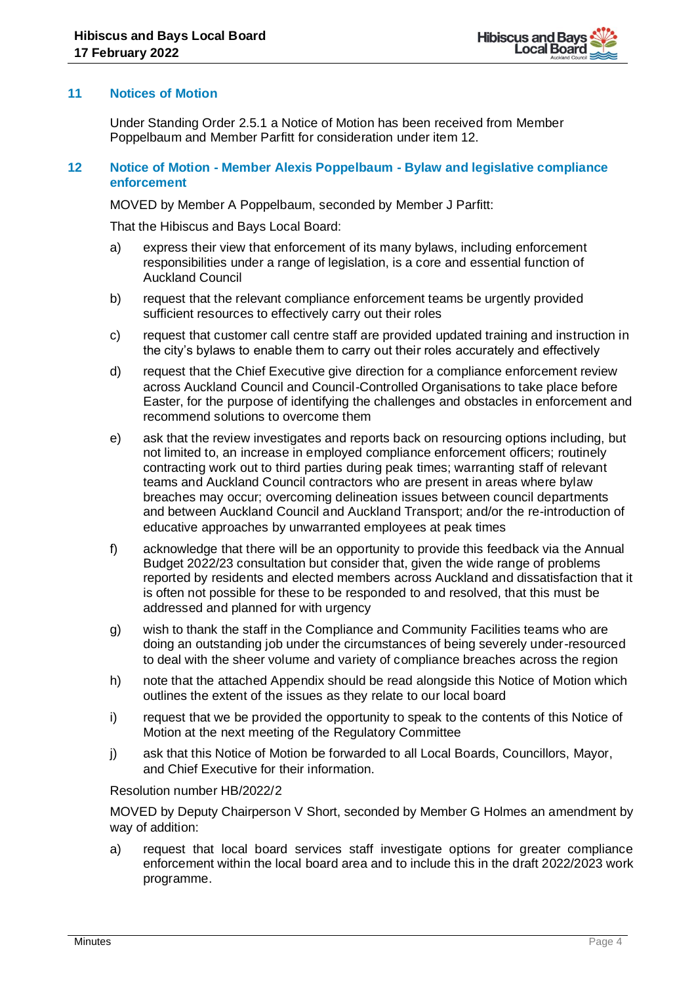

# **11 Notices of Motion**

Under Standing Order 2.5.1 a Notice of Motion has been received from Member Poppelbaum and Member Parfitt for consideration under item 12.

# **12 Notice of Motion - Member Alexis Poppelbaum - Bylaw and legislative compliance enforcement**

MOVED by Member A Poppelbaum, seconded by Member J Parfitt:

That the Hibiscus and Bays Local Board:

- a) express their view that enforcement of its many bylaws, including enforcement responsibilities under a range of legislation, is a core and essential function of Auckland Council
- b) request that the relevant compliance enforcement teams be urgently provided sufficient resources to effectively carry out their roles
- c) request that customer call centre staff are provided updated training and instruction in the city's bylaws to enable them to carry out their roles accurately and effectively
- d) request that the Chief Executive give direction for a compliance enforcement review across Auckland Council and Council-Controlled Organisations to take place before Easter, for the purpose of identifying the challenges and obstacles in enforcement and recommend solutions to overcome them
- e) ask that the review investigates and reports back on resourcing options including, but not limited to, an increase in employed compliance enforcement officers; routinely contracting work out to third parties during peak times; warranting staff of relevant teams and Auckland Council contractors who are present in areas where bylaw breaches may occur; overcoming delineation issues between council departments and between Auckland Council and Auckland Transport; and/or the re-introduction of educative approaches by unwarranted employees at peak times
- f) acknowledge that there will be an opportunity to provide this feedback via the Annual Budget 2022/23 consultation but consider that, given the wide range of problems reported by residents and elected members across Auckland and dissatisfaction that it is often not possible for these to be responded to and resolved, that this must be addressed and planned for with urgency
- g) wish to thank the staff in the Compliance and Community Facilities teams who are doing an outstanding job under the circumstances of being severely under-resourced to deal with the sheer volume and variety of compliance breaches across the region
- h) note that the attached Appendix should be read alongside this Notice of Motion which outlines the extent of the issues as they relate to our local board
- i) request that we be provided the opportunity to speak to the contents of this Notice of Motion at the next meeting of the Regulatory Committee
- j) ask that this Notice of Motion be forwarded to all Local Boards, Councillors, Mayor, and Chief Executive for their information.

# Resolution number HB/2022/2

MOVED by Deputy Chairperson V Short, seconded by Member G Holmes an amendment by way of addition:

a) request that local board services staff investigate options for greater compliance enforcement within the local board area and to include this in the draft 2022/2023 work programme.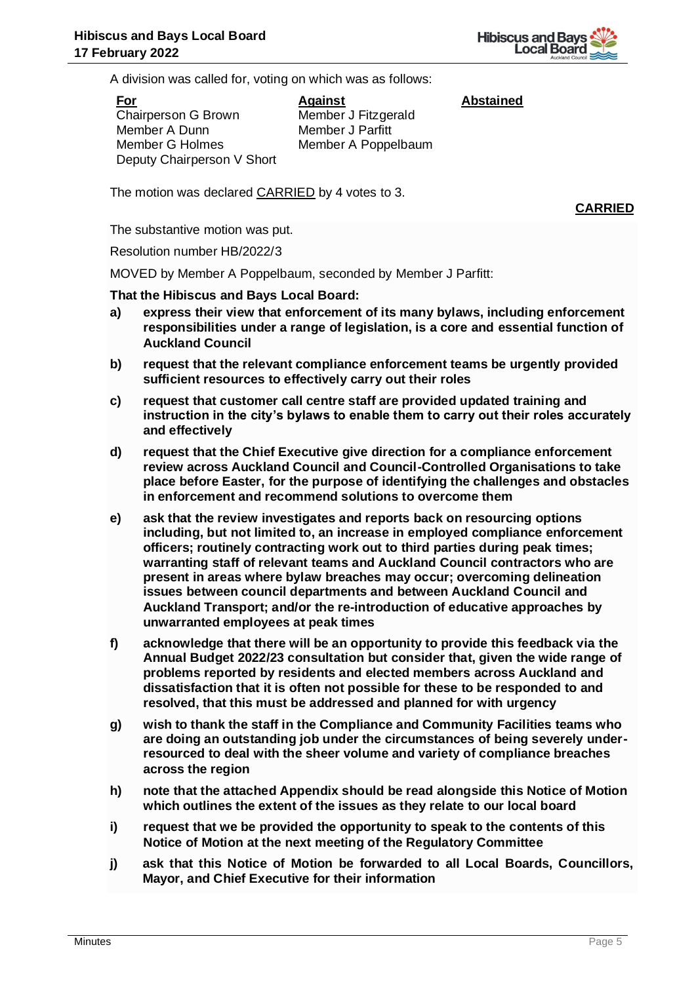

**Abstained**

A division was called for, voting on which was as follows:

**For** Chairperson G Brown Member A Dunn Member G Holmes Deputy Chairperson V Short

**Against** Member J Fitzgerald Member J Parfitt Member A Poppelbaum

The motion was declared CARRIED by 4 votes to 3.

**CARRIED**

The substantive motion was put.

Resolution number HB/2022/3

MOVED by Member A Poppelbaum, seconded by Member J Parfitt:

- **a) express their view that enforcement of its many bylaws, including enforcement responsibilities under a range of legislation, is a core and essential function of Auckland Council**
- **b) request that the relevant compliance enforcement teams be urgently provided sufficient resources to effectively carry out their roles**
- **c) request that customer call centre staff are provided updated training and instruction in the city's bylaws to enable them to carry out their roles accurately and effectively**
- **d) request that the Chief Executive give direction for a compliance enforcement review across Auckland Council and Council-Controlled Organisations to take place before Easter, for the purpose of identifying the challenges and obstacles in enforcement and recommend solutions to overcome them**
- **e) ask that the review investigates and reports back on resourcing options including, but not limited to, an increase in employed compliance enforcement officers; routinely contracting work out to third parties during peak times; warranting staff of relevant teams and Auckland Council contractors who are present in areas where bylaw breaches may occur; overcoming delineation issues between council departments and between Auckland Council and Auckland Transport; and/or the re-introduction of educative approaches by unwarranted employees at peak times**
- **f) acknowledge that there will be an opportunity to provide this feedback via the Annual Budget 2022/23 consultation but consider that, given the wide range of problems reported by residents and elected members across Auckland and dissatisfaction that it is often not possible for these to be responded to and resolved, that this must be addressed and planned for with urgency**
- **g) wish to thank the staff in the Compliance and Community Facilities teams who are doing an outstanding job under the circumstances of being severely underresourced to deal with the sheer volume and variety of compliance breaches across the region**
- **h) note that the attached Appendix should be read alongside this Notice of Motion which outlines the extent of the issues as they relate to our local board**
- **i) request that we be provided the opportunity to speak to the contents of this Notice of Motion at the next meeting of the Regulatory Committee**
- **j) ask that this Notice of Motion be forwarded to all Local Boards, Councillors, Mayor, and Chief Executive for their information**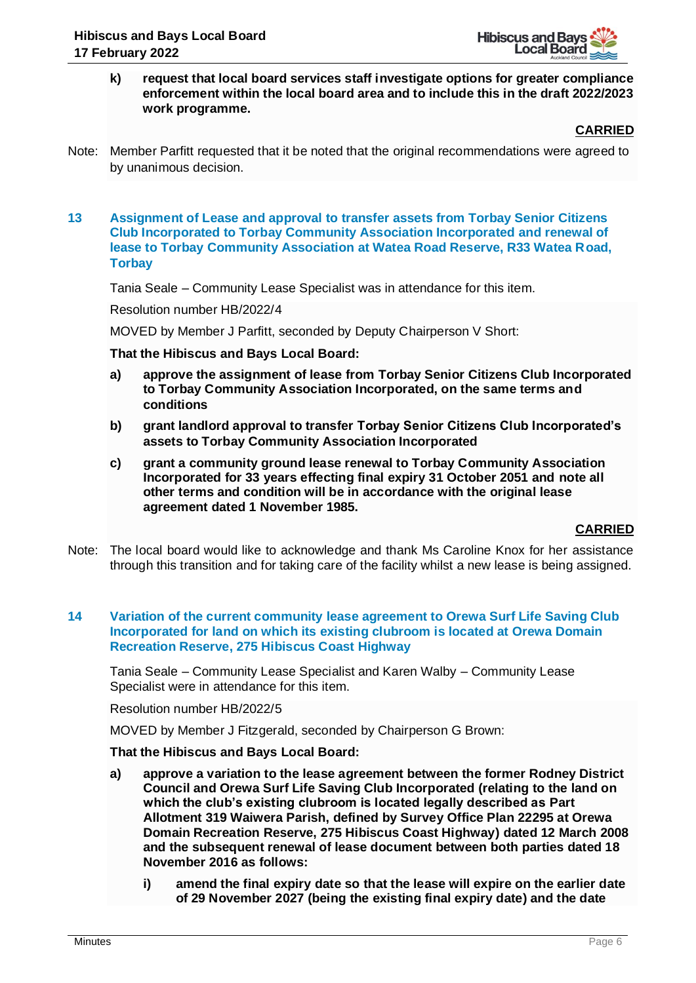

**k) request that local board services staff investigate options for greater compliance enforcement within the local board area and to include this in the draft 2022/2023 work programme.**

**CARRIED**

Note: Member Parfitt requested that it be noted that the original recommendations were agreed to by unanimous decision.

#### **13 Assignment of Lease and approval to transfer assets from Torbay Senior Citizens Club Incorporated to Torbay Community Association Incorporated and renewal of lease to Torbay Community Association at Watea Road Reserve, R33 Watea Road, Torbay**

Tania Seale – Community Lease Specialist was in attendance for this item.

Resolution number HB/2022/4

MOVED by Member J Parfitt, seconded by Deputy Chairperson V Short:

#### **That the Hibiscus and Bays Local Board:**

- **a) approve the assignment of lease from Torbay Senior Citizens Club Incorporated to Torbay Community Association Incorporated, on the same terms and conditions**
- **b) grant landlord approval to transfer Torbay Senior Citizens Club Incorporated's assets to Torbay Community Association Incorporated**
- **c) grant a community ground lease renewal to Torbay Community Association Incorporated for 33 years effecting final expiry 31 October 2051 and note all other terms and condition will be in accordance with the original lease agreement dated 1 November 1985.**

# **CARRIED**

Note: The local board would like to acknowledge and thank Ms Caroline Knox for her assistance through this transition and for taking care of the facility whilst a new lease is being assigned.

# **14 Variation of the current community lease agreement to Orewa Surf Life Saving Club Incorporated for land on which its existing clubroom is located at Orewa Domain Recreation Reserve, 275 Hibiscus Coast Highway**

Tania Seale – Community Lease Specialist and Karen Walby – Community Lease Specialist were in attendance for this item.

Resolution number HB/2022/5

MOVED by Member J Fitzgerald, seconded by Chairperson G Brown:

- **a) approve a variation to the lease agreement between the former Rodney District Council and Orewa Surf Life Saving Club Incorporated (relating to the land on which the club's existing clubroom is located legally described as Part Allotment 319 Waiwera Parish, defined by Survey Office Plan 22295 at Orewa Domain Recreation Reserve, 275 Hibiscus Coast Highway) dated 12 March 2008 and the subsequent renewal of lease document between both parties dated 18 November 2016 as follows:**
	- **i) amend the final expiry date so that the lease will expire on the earlier date of 29 November 2027 (being the existing final expiry date) and the date**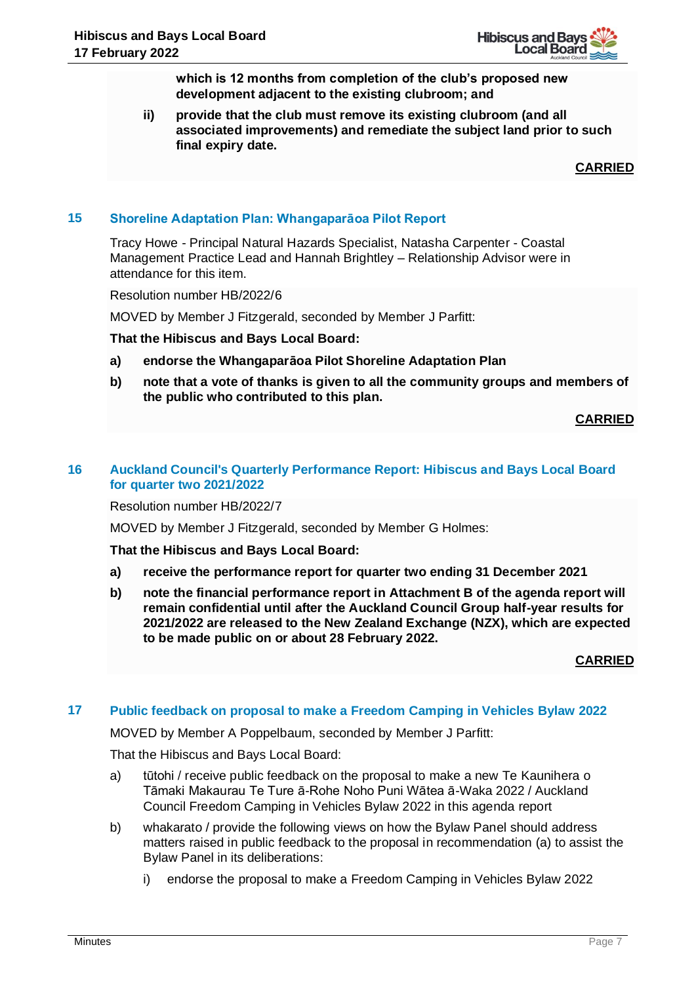

**which is 12 months from completion of the club's proposed new development adjacent to the existing clubroom; and**

**ii) provide that the club must remove its existing clubroom (and all associated improvements) and remediate the subject land prior to such final expiry date.**

**CARRIED**

# **15 Shoreline Adaptation Plan: Whangaparāoa Pilot Report**

Tracy Howe - Principal Natural Hazards Specialist, Natasha Carpenter - Coastal Management Practice Lead and Hannah Brightley – Relationship Advisor were in attendance for this item.

Resolution number HB/2022/6

MOVED by Member J Fitzgerald, seconded by Member J Parfitt:

**That the Hibiscus and Bays Local Board:**

- **a) endorse the Whangaparāoa Pilot Shoreline Adaptation Plan**
- **b) note that a vote of thanks is given to all the community groups and members of the public who contributed to this plan.**

**CARRIED**

#### **16 Auckland Council's Quarterly Performance Report: Hibiscus and Bays Local Board for quarter two 2021/2022**

Resolution number HB/2022/7

MOVED by Member J Fitzgerald, seconded by Member G Holmes:

**That the Hibiscus and Bays Local Board:**

- **a) receive the performance report for quarter two ending 31 December 2021**
- **b) note the financial performance report in Attachment B of the agenda report will remain confidential until after the Auckland Council Group half-year results for 2021/2022 are released to the New Zealand Exchange (NZX), which are expected to be made public on or about 28 February 2022.**

**CARRIED**

# **17 Public feedback on proposal to make a Freedom Camping in Vehicles Bylaw 2022**

MOVED by Member A Poppelbaum, seconded by Member J Parfitt:

- a) tūtohi / receive public feedback on the proposal to make a new Te Kaunihera o Tāmaki Makaurau Te Ture ā-Rohe Noho Puni Wātea ā-Waka 2022 / Auckland Council Freedom Camping in Vehicles Bylaw 2022 in this agenda report
- b) whakarato / provide the following views on how the Bylaw Panel should address matters raised in public feedback to the proposal in recommendation (a) to assist the Bylaw Panel in its deliberations:
	- i) endorse the proposal to make a Freedom Camping in Vehicles Bylaw 2022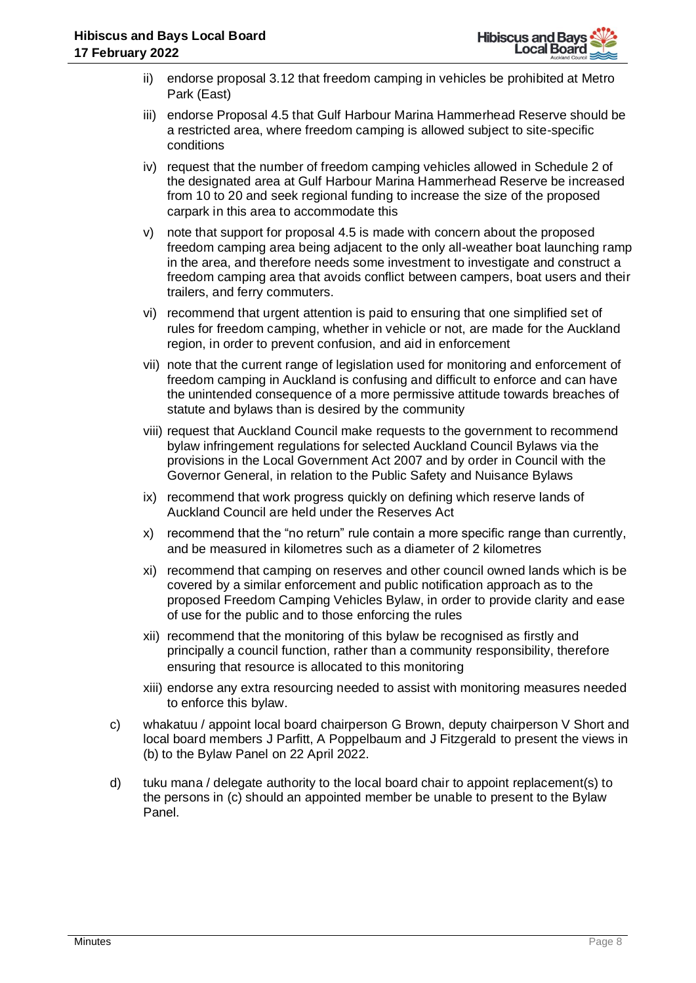- ii) endorse proposal 3.12 that freedom camping in vehicles be prohibited at Metro Park (East)
- iii) endorse Proposal 4.5 that Gulf Harbour Marina Hammerhead Reserve should be a restricted area, where freedom camping is allowed subject to site-specific conditions
- iv) request that the number of freedom camping vehicles allowed in Schedule 2 of the designated area at Gulf Harbour Marina Hammerhead Reserve be increased from 10 to 20 and seek regional funding to increase the size of the proposed carpark in this area to accommodate this
- v) note that support for proposal 4.5 is made with concern about the proposed freedom camping area being adjacent to the only all-weather boat launching ramp in the area, and therefore needs some investment to investigate and construct a freedom camping area that avoids conflict between campers, boat users and their trailers, and ferry commuters.
- vi) recommend that urgent attention is paid to ensuring that one simplified set of rules for freedom camping, whether in vehicle or not, are made for the Auckland region, in order to prevent confusion, and aid in enforcement
- vii) note that the current range of legislation used for monitoring and enforcement of freedom camping in Auckland is confusing and difficult to enforce and can have the unintended consequence of a more permissive attitude towards breaches of statute and bylaws than is desired by the community
- viii) request that Auckland Council make requests to the government to recommend bylaw infringement regulations for selected Auckland Council Bylaws via the provisions in the Local Government Act 2007 and by order in Council with the Governor General, in relation to the Public Safety and Nuisance Bylaws
- ix) recommend that work progress quickly on defining which reserve lands of Auckland Council are held under the Reserves Act
- x) recommend that the "no return" rule contain a more specific range than currently, and be measured in kilometres such as a diameter of 2 kilometres
- xi) recommend that camping on reserves and other council owned lands which is be covered by a similar enforcement and public notification approach as to the proposed Freedom Camping Vehicles Bylaw, in order to provide clarity and ease of use for the public and to those enforcing the rules
- xii) recommend that the monitoring of this bylaw be recognised as firstly and principally a council function, rather than a community responsibility, therefore ensuring that resource is allocated to this monitoring
- xiii) endorse any extra resourcing needed to assist with monitoring measures needed to enforce this bylaw.
- c) whakatuu / appoint local board chairperson G Brown, deputy chairperson V Short and local board members J Parfitt, A Poppelbaum and J Fitzgerald to present the views in (b) to the Bylaw Panel on 22 April 2022.
- d) tuku mana / delegate authority to the local board chair to appoint replacement(s) to the persons in (c) should an appointed member be unable to present to the Bylaw Panel.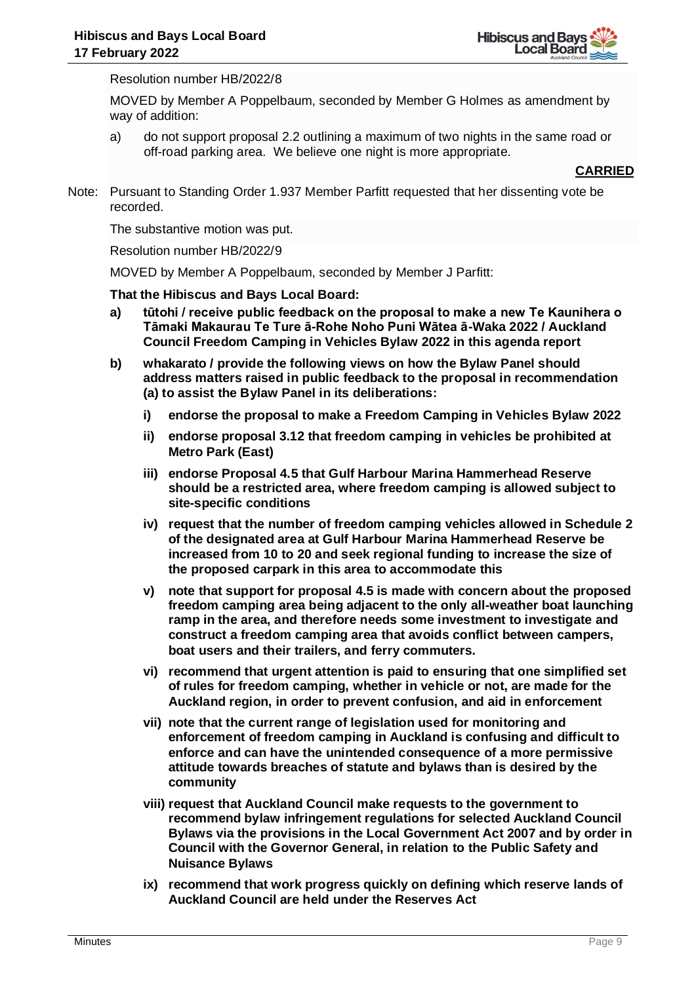

Resolution number HB/2022/8

MOVED by Member A Poppelbaum, seconded by Member G Holmes as amendment by way of addition:

a) do not support proposal 2.2 outlining a maximum of two nights in the same road or off-road parking area. We believe one night is more appropriate.

#### **CARRIED**

Note: Pursuant to Standing Order 1.937 Member Parfitt requested that her dissenting vote be recorded.

The substantive motion was put.

Resolution number HB/2022/9

MOVED by Member A Poppelbaum, seconded by Member J Parfitt:

- **a) tūtohi / receive public feedback on the proposal to make a new Te Kaunihera o Tāmaki Makaurau Te Ture ā-Rohe Noho Puni Wātea ā-Waka 2022 / Auckland Council Freedom Camping in Vehicles Bylaw 2022 in this agenda report**
- **b) whakarato / provide the following views on how the Bylaw Panel should address matters raised in public feedback to the proposal in recommendation (a) to assist the Bylaw Panel in its deliberations:**
	- **i) endorse the proposal to make a Freedom Camping in Vehicles Bylaw 2022**
	- **ii) endorse proposal 3.12 that freedom camping in vehicles be prohibited at Metro Park (East)**
	- **iii) endorse Proposal 4.5 that Gulf Harbour Marina Hammerhead Reserve should be a restricted area, where freedom camping is allowed subject to site-specific conditions**
	- **iv) request that the number of freedom camping vehicles allowed in Schedule 2 of the designated area at Gulf Harbour Marina Hammerhead Reserve be increased from 10 to 20 and seek regional funding to increase the size of the proposed carpark in this area to accommodate this**
	- **v) note that support for proposal 4.5 is made with concern about the proposed freedom camping area being adjacent to the only all-weather boat launching ramp in the area, and therefore needs some investment to investigate and construct a freedom camping area that avoids conflict between campers, boat users and their trailers, and ferry commuters.**
	- **vi) recommend that urgent attention is paid to ensuring that one simplified set of rules for freedom camping, whether in vehicle or not, are made for the Auckland region, in order to prevent confusion, and aid in enforcement**
	- **vii) note that the current range of legislation used for monitoring and enforcement of freedom camping in Auckland is confusing and difficult to enforce and can have the unintended consequence of a more permissive attitude towards breaches of statute and bylaws than is desired by the community**
	- **viii) request that Auckland Council make requests to the government to recommend bylaw infringement regulations for selected Auckland Council Bylaws via the provisions in the Local Government Act 2007 and by order in Council with the Governor General, in relation to the Public Safety and Nuisance Bylaws**
	- **ix) recommend that work progress quickly on defining which reserve lands of Auckland Council are held under the Reserves Act**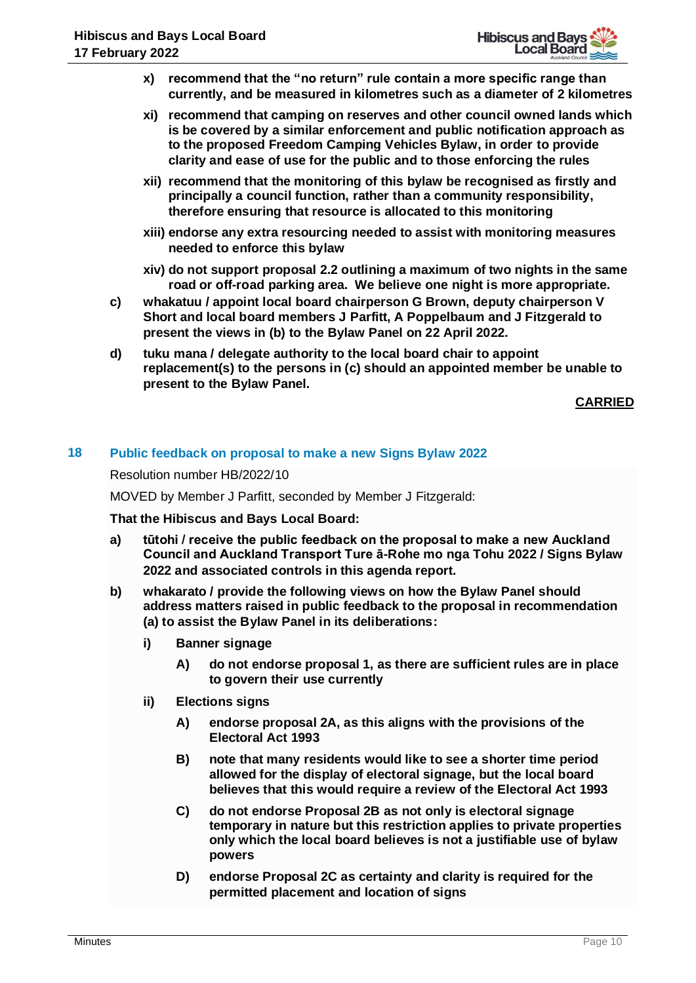- **x) recommend that the "no return" rule contain a more specific range than currently, and be measured in kilometres such as a diameter of 2 kilometres**
- **xi) recommend that camping on reserves and other council owned lands which is be covered by a similar enforcement and public notification approach as to the proposed Freedom Camping Vehicles Bylaw, in order to provide clarity and ease of use for the public and to those enforcing the rules**
- **xii) recommend that the monitoring of this bylaw be recognised as firstly and principally a council function, rather than a community responsibility, therefore ensuring that resource is allocated to this monitoring**
- **xiii) endorse any extra resourcing needed to assist with monitoring measures needed to enforce this bylaw**
- **xiv) do not support proposal 2.2 outlining a maximum of two nights in the same road or off-road parking area. We believe one night is more appropriate.**
- **c) whakatuu / appoint local board chairperson G Brown, deputy chairperson V Short and local board members J Parfitt, A Poppelbaum and J Fitzgerald to present the views in (b) to the Bylaw Panel on 22 April 2022.**
- **d) tuku mana / delegate authority to the local board chair to appoint replacement(s) to the persons in (c) should an appointed member be unable to present to the Bylaw Panel.**

# **18 Public feedback on proposal to make a new Signs Bylaw 2022**

Resolution number HB/2022/10

MOVED by Member J Parfitt, seconded by Member J Fitzgerald:

- **a) tūtohi / receive the public feedback on the proposal to make a new Auckland Council and Auckland Transport Ture ā-Rohe mo nga Tohu 2022 / Signs Bylaw 2022 and associated controls in this agenda report.**
- **b) whakarato / provide the following views on how the Bylaw Panel should address matters raised in public feedback to the proposal in recommendation (a) to assist the Bylaw Panel in its deliberations:**
	- **i) Banner signage** 
		- **A) do not endorse proposal 1, as there are sufficient rules are in place to govern their use currently**
	- **ii) Elections signs** 
		- **A) endorse proposal 2A, as this aligns with the provisions of the Electoral Act 1993**
		- **B) note that many residents would like to see a shorter time period allowed for the display of electoral signage, but the local board believes that this would require a review of the Electoral Act 1993**
		- **C) do not endorse Proposal 2B as not only is electoral signage temporary in nature but this restriction applies to private properties only which the local board believes is not a justifiable use of bylaw powers**
		- **D) endorse Proposal 2C as certainty and clarity is required for the permitted placement and location of signs**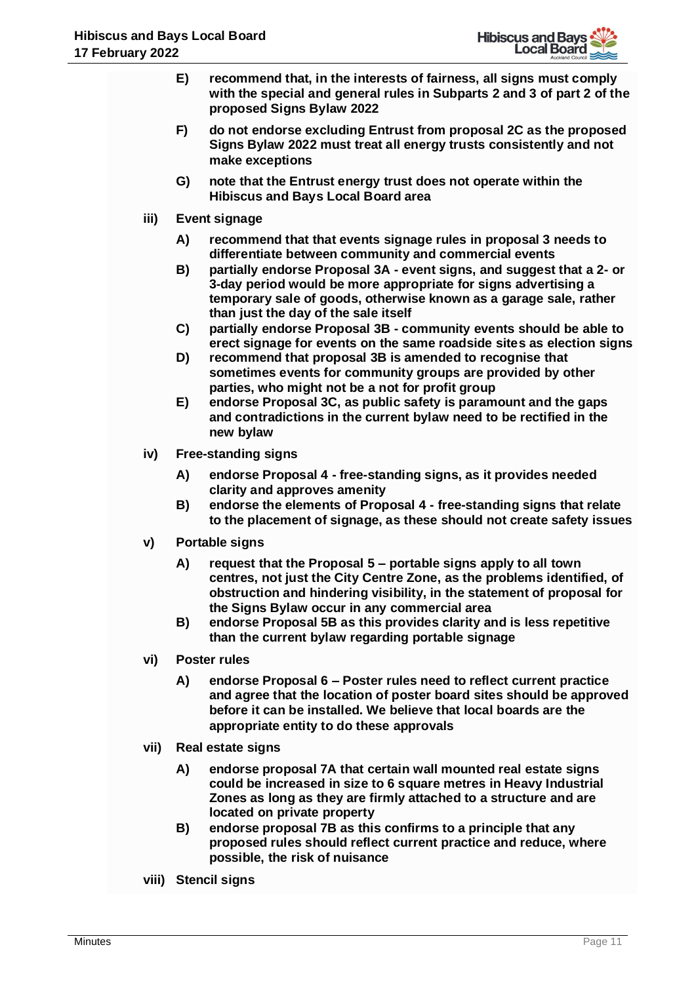- **E) recommend that, in the interests of fairness, all signs must comply with the special and general rules in Subparts 2 and 3 of part 2 of the proposed Signs Bylaw 2022**
- **F) do not endorse excluding Entrust from proposal 2C as the proposed Signs Bylaw 2022 must treat all energy trusts consistently and not make exceptions**
- **G) note that the Entrust energy trust does not operate within the Hibiscus and Bays Local Board area**
- **iii) Event signage**
	- **A) recommend that that events signage rules in proposal 3 needs to differentiate between community and commercial events**
	- **B) partially endorse Proposal 3A - event signs, and suggest that a 2- or 3-day period would be more appropriate for signs advertising a temporary sale of goods, otherwise known as a garage sale, rather than just the day of the sale itself**
	- **C) partially endorse Proposal 3B - community events should be able to erect signage for events on the same roadside sites as election signs**
	- **D) recommend that proposal 3B is amended to recognise that sometimes events for community groups are provided by other parties, who might not be a not for profit group**
	- **E) endorse Proposal 3C, as public safety is paramount and the gaps and contradictions in the current bylaw need to be rectified in the new bylaw**
- **iv) Free-standing signs** 
	- **A) endorse Proposal 4 - free-standing signs, as it provides needed clarity and approves amenity**
	- **B) endorse the elements of Proposal 4 - free-standing signs that relate to the placement of signage, as these should not create safety issues**
- **v) Portable signs** 
	- **A) request that the Proposal 5 – portable signs apply to all town centres, not just the City Centre Zone, as the problems identified, of obstruction and hindering visibility, in the statement of proposal for the Signs Bylaw occur in any commercial area**
	- **B) endorse Proposal 5B as this provides clarity and is less repetitive than the current bylaw regarding portable signage**
- **vi) Poster rules** 
	- **A) endorse Proposal 6 – Poster rules need to reflect current practice and agree that the location of poster board sites should be approved before it can be installed. We believe that local boards are the appropriate entity to do these approvals**
- **vii) Real estate signs**
	- **A) endorse proposal 7A that certain wall mounted real estate signs could be increased in size to 6 square metres in Heavy Industrial Zones as long as they are firmly attached to a structure and are located on private property**
	- **B) endorse proposal 7B as this confirms to a principle that any proposed rules should reflect current practice and reduce, where possible, the risk of nuisance**
- **viii) Stencil signs**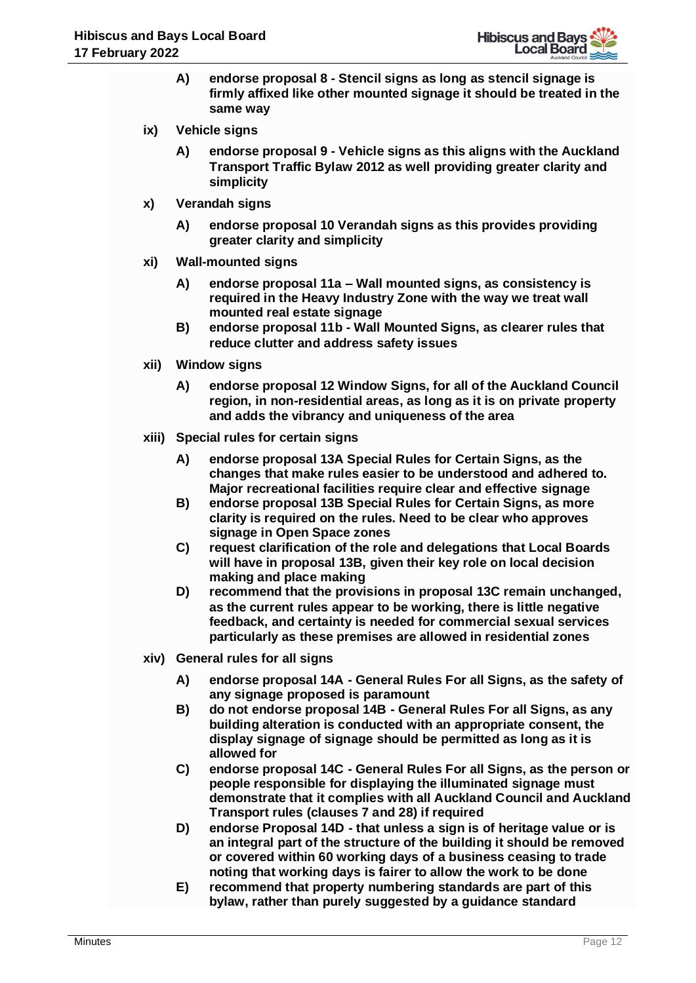- **A) endorse proposal 8 - Stencil signs as long as stencil signage is firmly affixed like other mounted signage it should be treated in the same way**
- **ix) Vehicle signs**
	- **A) endorse proposal 9 - Vehicle signs as this aligns with the Auckland Transport Traffic Bylaw 2012 as well providing greater clarity and simplicity**
- **x) Verandah signs** 
	- **A) endorse proposal 10 Verandah signs as this provides providing greater clarity and simplicity**
- **xi) Wall-mounted signs** 
	- **A) endorse proposal 11a – Wall mounted signs, as consistency is required in the Heavy Industry Zone with the way we treat wall mounted real estate signage**
	- **B) endorse proposal 11b - Wall Mounted Signs, as clearer rules that reduce clutter and address safety issues**
- **xii) Window signs**
	- **A) endorse proposal 12 Window Signs, for all of the Auckland Council region, in non-residential areas, as long as it is on private property and adds the vibrancy and uniqueness of the area**
- **xiii) Special rules for certain signs** 
	- **A) endorse proposal 13A Special Rules for Certain Signs, as the changes that make rules easier to be understood and adhered to. Major recreational facilities require clear and effective signage**
	- **B) endorse proposal 13B Special Rules for Certain Signs, as more clarity is required on the rules. Need to be clear who approves signage in Open Space zones**
	- **C) request clarification of the role and delegations that Local Boards will have in proposal 13B, given their key role on local decision making and place making**
	- **D) recommend that the provisions in proposal 13C remain unchanged, as the current rules appear to be working, there is little negative feedback, and certainty is needed for commercial sexual services particularly as these premises are allowed in residential zones**
- **xiv) General rules for all signs** 
	- **A) endorse proposal 14A - General Rules For all Signs, as the safety of any signage proposed is paramount**
	- **B) do not endorse proposal 14B - General Rules For all Signs, as any building alteration is conducted with an appropriate consent, the display signage of signage should be permitted as long as it is allowed for**
	- **C) endorse proposal 14C - General Rules For all Signs, as the person or people responsible for displaying the illuminated signage must demonstrate that it complies with all Auckland Council and Auckland Transport rules (clauses 7 and 28) if required**
	- **D) endorse Proposal 14D - that unless a sign is of heritage value or is an integral part of the structure of the building it should be removed or covered within 60 working days of a business ceasing to trade noting that working days is fairer to allow the work to be done**
	- **E) recommend that property numbering standards are part of this bylaw, rather than purely suggested by a guidance standard**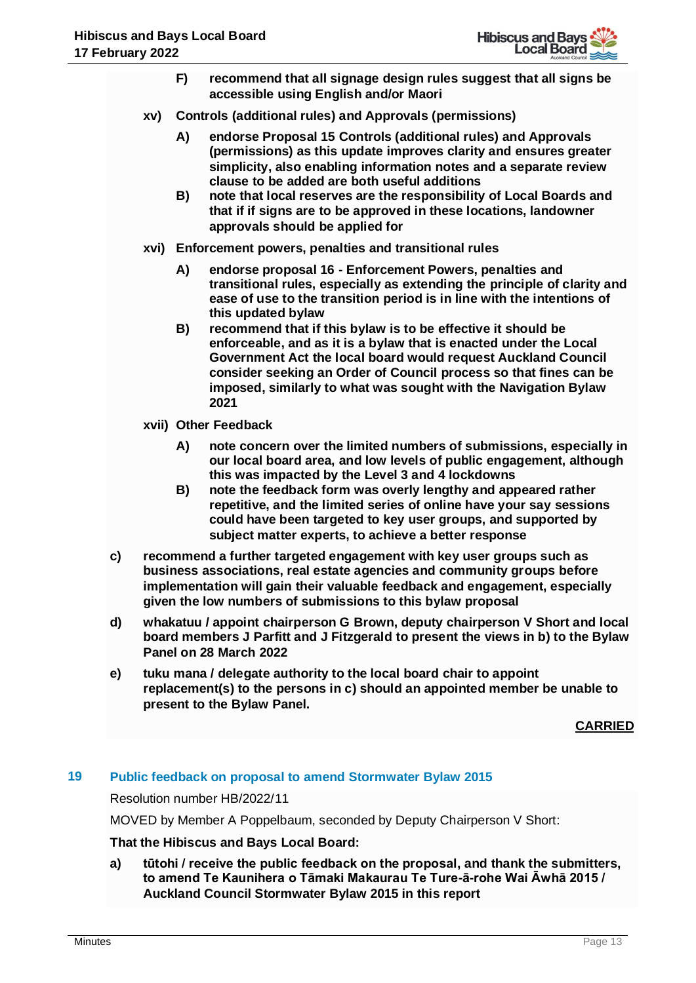- **F) recommend that all signage design rules suggest that all signs be accessible using English and/or Maori**
- **xv) Controls (additional rules) and Approvals (permissions)** 
	- **A) endorse Proposal 15 Controls (additional rules) and Approvals (permissions) as this update improves clarity and ensures greater simplicity, also enabling information notes and a separate review clause to be added are both useful additions**
	- **B) note that local reserves are the responsibility of Local Boards and that if if signs are to be approved in these locations, landowner approvals should be applied for**
- **xvi) Enforcement powers, penalties and transitional rules** 
	- **A) endorse proposal 16 - Enforcement Powers, penalties and transitional rules, especially as extending the principle of clarity and ease of use to the transition period is in line with the intentions of this updated bylaw**
	- **B) recommend that if this bylaw is to be effective it should be enforceable, and as it is a bylaw that is enacted under the Local Government Act the local board would request Auckland Council consider seeking an Order of Council process so that fines can be imposed, similarly to what was sought with the Navigation Bylaw 2021**
- **xvii) Other Feedback**
	- **A) note concern over the limited numbers of submissions, especially in our local board area, and low levels of public engagement, although this was impacted by the Level 3 and 4 lockdowns**
	- **B) note the feedback form was overly lengthy and appeared rather repetitive, and the limited series of online have your say sessions could have been targeted to key user groups, and supported by subject matter experts, to achieve a better response**
- **c) recommend a further targeted engagement with key user groups such as business associations, real estate agencies and community groups before implementation will gain their valuable feedback and engagement, especially given the low numbers of submissions to this bylaw proposal**
- **d) whakatuu / appoint chairperson G Brown, deputy chairperson V Short and local board members J Parfitt and J Fitzgerald to present the views in b) to the Bylaw Panel on 28 March 2022**
- **e) tuku mana / delegate authority to the local board chair to appoint replacement(s) to the persons in c) should an appointed member be unable to present to the Bylaw Panel.**

# **19 Public feedback on proposal to amend Stormwater Bylaw 2015**

Resolution number HB/2022/11

MOVED by Member A Poppelbaum, seconded by Deputy Chairperson V Short:

# **That the Hibiscus and Bays Local Board:**

**a) tūtohi / receive the public feedback on the proposal, and thank the submitters, to amend Te Kaunihera o Tāmaki Makaurau Te Ture-ā-rohe Wai Āwhā 2015 / Auckland Council Stormwater Bylaw 2015 in this report**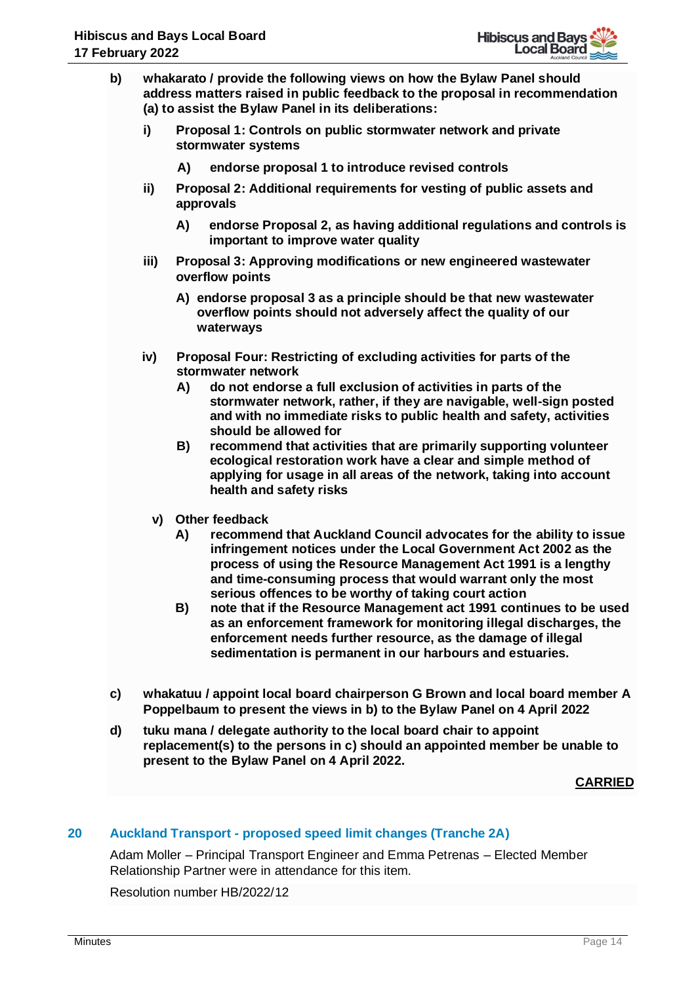

- **b) whakarato / provide the following views on how the Bylaw Panel should address matters raised in public feedback to the proposal in recommendation (a) to assist the Bylaw Panel in its deliberations:**
	- **i) Proposal 1: Controls on public stormwater network and private stormwater systems**
		- **A) endorse proposal 1 to introduce revised controls**
	- **ii) Proposal 2: Additional requirements for vesting of public assets and approvals** 
		- **A) endorse Proposal 2, as having additional regulations and controls is important to improve water quality**
	- **iii) Proposal 3: Approving modifications or new engineered wastewater overflow points**
		- **A) endorse proposal 3 as a principle should be that new wastewater overflow points should not adversely affect the quality of our waterways**
	- **iv) Proposal Four: Restricting of excluding activities for parts of the stormwater network**
		- **A) do not endorse a full exclusion of activities in parts of the stormwater network, rather, if they are navigable, well-sign posted and with no immediate risks to public health and safety, activities should be allowed for**
		- **B) recommend that activities that are primarily supporting volunteer ecological restoration work have a clear and simple method of applying for usage in all areas of the network, taking into account health and safety risks**
		- **v) Other feedback**
			- **A) recommend that Auckland Council advocates for the ability to issue infringement notices under the Local Government Act 2002 as the process of using the Resource Management Act 1991 is a lengthy and time-consuming process that would warrant only the most serious offences to be worthy of taking court action**
			- **B) note that if the Resource Management act 1991 continues to be used as an enforcement framework for monitoring illegal discharges, the enforcement needs further resource, as the damage of illegal sedimentation is permanent in our harbours and estuaries.**
- **c) whakatuu / appoint local board chairperson G Brown and local board member A Poppelbaum to present the views in b) to the Bylaw Panel on 4 April 2022**
- **d) tuku mana / delegate authority to the local board chair to appoint replacement(s) to the persons in c) should an appointed member be unable to present to the Bylaw Panel on 4 April 2022.**

# **20 Auckland Transport - proposed speed limit changes (Tranche 2A)**

Adam Moller – Principal Transport Engineer and Emma Petrenas – Elected Member Relationship Partner were in attendance for this item.

Resolution number HB/2022/12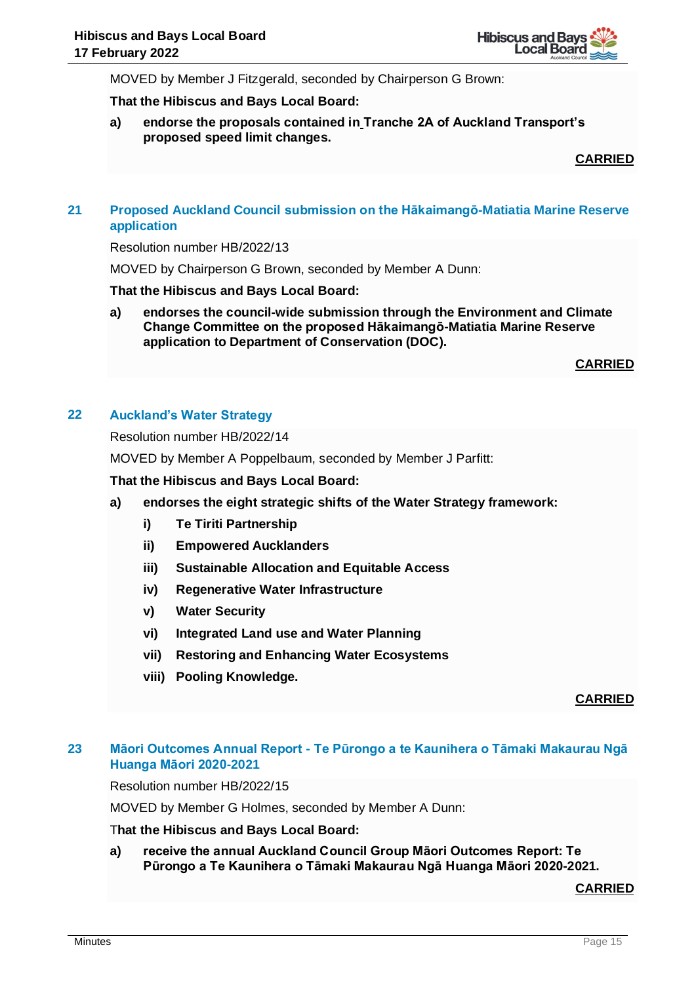

MOVED by Member J Fitzgerald, seconded by Chairperson G Brown:

#### **That the Hibiscus and Bays Local Board:**

**a) endorse the proposals contained in Tranche 2A of Auckland Transport's proposed speed limit changes.**

**CARRIED**

# **21 Proposed Auckland Council submission on the Hākaimangō-Matiatia Marine Reserve application**

Resolution number HB/2022/13

MOVED by Chairperson G Brown, seconded by Member A Dunn:

#### **That the Hibiscus and Bays Local Board:**

**a) endorses the council-wide submission through the Environment and Climate Change Committee on the proposed Hākaimangō-Matiatia Marine Reserve application to Department of Conservation (DOC).**

**CARRIED**

# **22 Auckland's Water Strategy**

Resolution number HB/2022/14

MOVED by Member A Poppelbaum, seconded by Member J Parfitt:

**That the Hibiscus and Bays Local Board:**

- **a) endorses the eight strategic shifts of the Water Strategy framework:** 
	- **i) Te Tiriti Partnership**
	- **ii) Empowered Aucklanders**
	- **iii) Sustainable Allocation and Equitable Access**
	- **iv) Regenerative Water Infrastructure**
	- **v) Water Security**
	- **vi) Integrated Land use and Water Planning**
	- **vii) Restoring and Enhancing Water Ecosystems**
	- **viii) Pooling Knowledge.**

**CARRIED**

# **23 Māori Outcomes Annual Report - Te Pūrongo a te Kaunihera o Tāmaki Makaurau Ngā Huanga Māori 2020-2021**

Resolution number HB/2022/15

MOVED by Member G Holmes, seconded by Member A Dunn:

#### T**hat the Hibiscus and Bays Local Board:**

**a) receive the annual Auckland Council Group Māori Outcomes Report: Te Pūrongo a Te Kaunihera o Tāmaki Makaurau Ngā Huanga Māori 2020-2021.**

**CARRIED**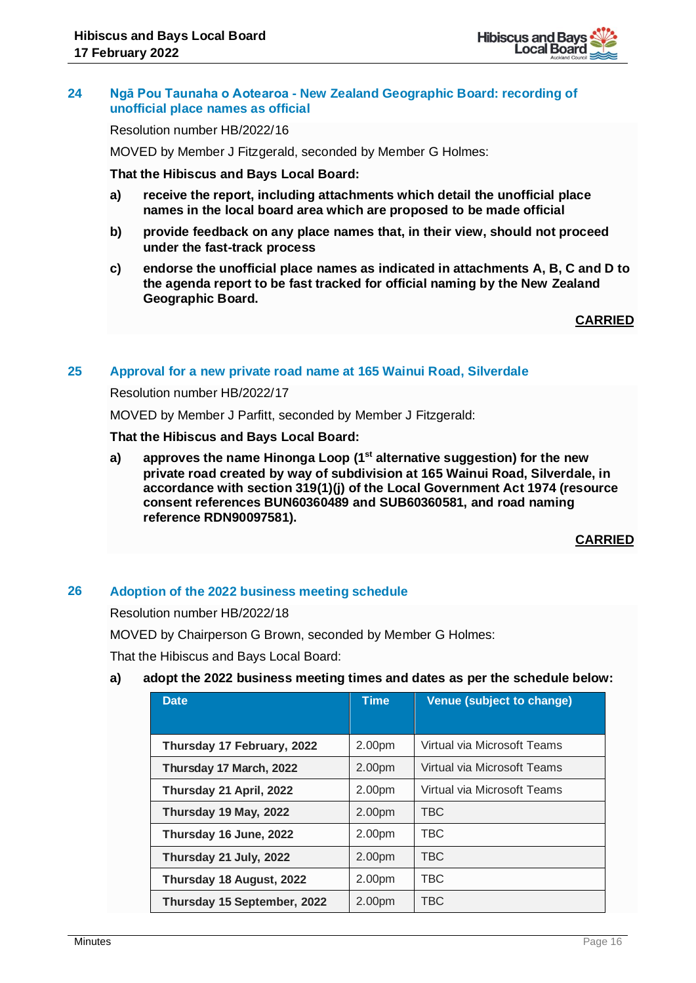

#### **24 Ngā Pou Taunaha o Aotearoa - New Zealand Geographic Board: recording of unofficial place names as official**

Resolution number HB/2022/16

MOVED by Member J Fitzgerald, seconded by Member G Holmes:

**That the Hibiscus and Bays Local Board:**

- **a) receive the report, including attachments which detail the unofficial place names in the local board area which are proposed to be made official**
- **b) provide feedback on any place names that, in their view, should not proceed under the fast-track process**
- **c) endorse the unofficial place names as indicated in attachments A, B, C and D to the agenda report to be fast tracked for official naming by the New Zealand Geographic Board.**

**CARRIED**

#### **25 Approval for a new private road name at 165 Wainui Road, Silverdale**

Resolution number HB/2022/17

MOVED by Member J Parfitt, seconded by Member J Fitzgerald:

#### **That the Hibiscus and Bays Local Board:**

**a) approves the name Hinonga Loop (1st alternative suggestion) for the new private road created by way of subdivision at 165 Wainui Road, Silverdale, in accordance with section 319(1)(j) of the Local Government Act 1974 (resource consent references BUN60360489 and SUB60360581, and road naming reference RDN90097581).**

# **CARRIED**

# **26 Adoption of the 2022 business meeting schedule**

Resolution number HB/2022/18

MOVED by Chairperson G Brown, seconded by Member G Holmes:

That the Hibiscus and Bays Local Board:

# **a) adopt the 2022 business meeting times and dates as per the schedule below:**

| <b>Date</b>                 | <b>Time</b> | Venue (subject to change)   |
|-----------------------------|-------------|-----------------------------|
|                             |             |                             |
| Thursday 17 February, 2022  | 2.00pm      | Virtual via Microsoft Teams |
| Thursday 17 March, 2022     | 2.00pm      | Virtual via Microsoft Teams |
| Thursday 21 April, 2022     | 2.00pm      | Virtual via Microsoft Teams |
| Thursday 19 May, 2022       | 2.00pm      | <b>TBC</b>                  |
| Thursday 16 June, 2022      | 2.00pm      | <b>TBC</b>                  |
| Thursday 21 July, 2022      | 2.00pm      | TBC.                        |
| Thursday 18 August, 2022    | 2.00pm      | <b>TBC</b>                  |
| Thursday 15 September, 2022 | 2.00pm      | TBC.                        |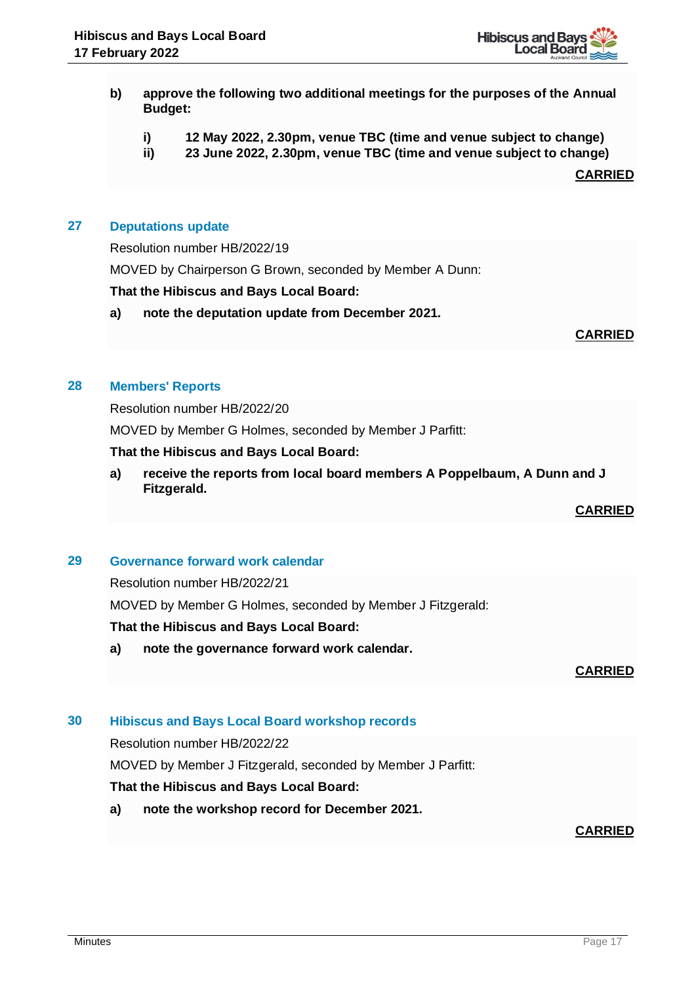

- **b) approve the following two additional meetings for the purposes of the Annual Budget:**
	- **i) 12 May 2022, 2.30pm, venue TBC (time and venue subject to change)**
	- **ii) 23 June 2022, 2.30pm, venue TBC (time and venue subject to change)**

# **27 Deputations update**

Resolution number HB/2022/19

MOVED by Chairperson G Brown, seconded by Member A Dunn:

#### **That the Hibiscus and Bays Local Board:**

**a) note the deputation update from December 2021.**

#### **CARRIED**

#### **28 Members' Reports**

Resolution number HB/2022/20

MOVED by Member G Holmes, seconded by Member J Parfitt:

#### **That the Hibiscus and Bays Local Board:**

**a) receive the reports from local board members A Poppelbaum, A Dunn and J Fitzgerald.**

**CARRIED**

# **29 Governance forward work calendar**

Resolution number HB/2022/21

MOVED by Member G Holmes, seconded by Member J Fitzgerald:

#### **That the Hibiscus and Bays Local Board:**

**a) note the governance forward work calendar.**

**CARRIED**

# **30 Hibiscus and Bays Local Board workshop records**

Resolution number HB/2022/22

MOVED by Member J Fitzgerald, seconded by Member J Parfitt:

# **That the Hibiscus and Bays Local Board:**

**a) note the workshop record for December 2021.**

# **CARRIED**